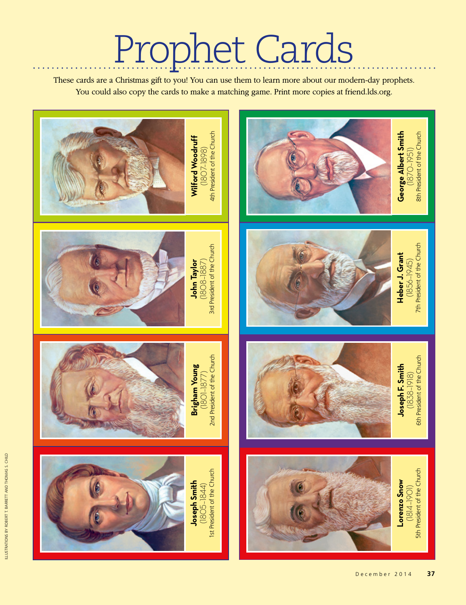These cards are a Christmas gift to you! You can use them to learn more about our modern-day prophets. You could also copy the cards to make a matching game. Print more copies at friend.lds.org.

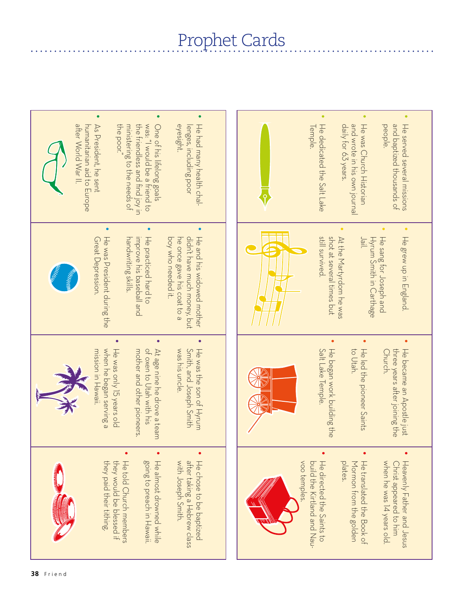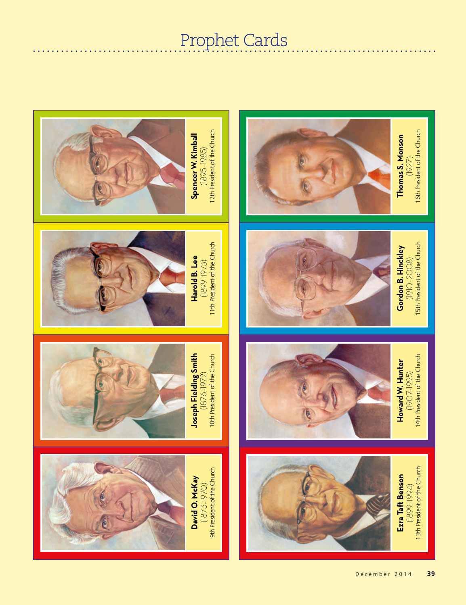$\bullet\quad\bullet\quad\bullet\quad\bullet$